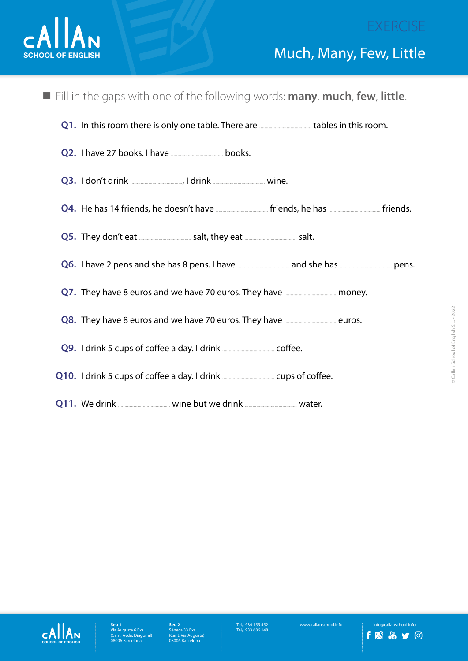

- n Fill in the gaps with one of the following words: **many**, **much**, **few**, **little**.
	- **Q1.** In this room there is only one table. There are ........................................ tables in this room.
	- **Q2.** I have 27 books. I have ........................................ books.
	- **Q3.** I don't drink ........................................, I drink ........................................ wine.
	- **Q4.** He has 14 friends, he doesn't have ........................................ friends, he has ........................................ friends.
	- **Q5.** They don't eat ........................................ salt, they eat ........................................ salt.
	- **Q6.** I have 2 pens and she has 8 pens. I have ........................................ and she has ........................................ pens.
	- **Q7.** They have 8 euros and we have 70 euros. They have ........................................ money.
	- **Q8.** They have 8 euros and we have 70 euros. They have ........................................ euros.
	- **Q9.** I drink 5 cups of coffee a day. I drink ........................................ coffee.
	- **Q10.** I drink 5 cups of coffee a day. I drink ........................................ cups of coffee.
	- **Q11.** We drink ........................................ wine but we drink ........................................ water.